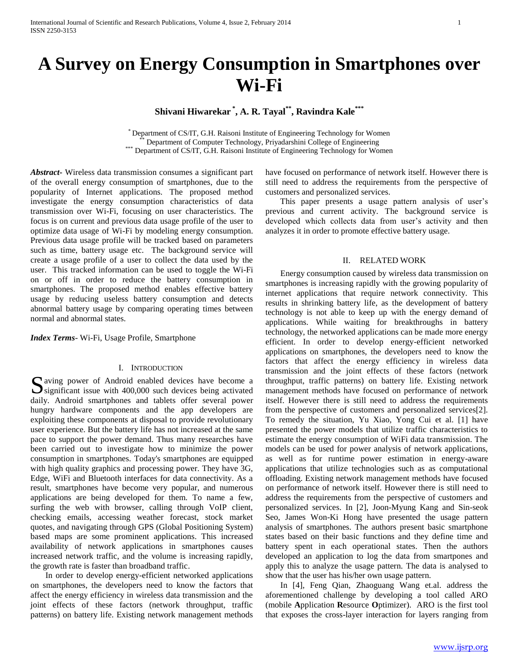# **A Survey on Energy Consumption in Smartphones over Wi-Fi**

**Shivani Hiwarekar \* , A. R. Tayal\*\* , Ravindra Kale\*\*\***

\* Department of CS/IT, G.H. Raisoni Institute of Engineering Technology for Women Department of Computer Technology, Priyadarshini College of Engineering Department of CS/IT, G.H. Raisoni Institute of Engineering Technology for Women

*Abstract***-** Wireless data transmission consumes a significant part of the overall energy consumption of smartphones, due to the popularity of Internet applications. The proposed method investigate the energy consumption characteristics of data transmission over Wi-Fi, focusing on user characteristics. The focus is on current and previous data usage profile of the user to optimize data usage of Wi-Fi by modeling energy consumption. Previous data usage profile will be tracked based on parameters such as time, battery usage etc. The background service will create a usage profile of a user to collect the data used by the user. This tracked information can be used to toggle the Wi-Fi on or off in order to reduce the battery consumption in smartphones. The proposed method enables effective battery usage by reducing useless battery consumption and detects abnormal battery usage by comparing operating times between normal and abnormal states.

*Index Terms*- Wi-Fi, Usage Profile, Smartphone

# I. INTRODUCTION

aving power of Android enabled devices have become a Saving power of Android enabled devices have become a significant issue with 400,000 such devices being activated daily. Android smartphones and tablets offer several power hungry hardware components and the app developers are exploiting these components at disposal to provide revolutionary user experience. But the battery life has not increased at the same pace to support the power demand. Thus many researches have been carried out to investigate how to minimize the power consumption in smartphones. Today's smartphones are equipped with high quality graphics and processing power. They have 3G, Edge, WiFi and Bluetooth interfaces for data connectivity. As a result, smartphones have become very popular, and numerous applications are being developed for them. To name a few, surfing the web with browser, calling through VoIP client, checking emails, accessing weather forecast, stock market quotes, and navigating through GPS (Global Positioning System) based maps are some prominent applications. This increased availability of network applications in smartphones causes increased network traffic, and the volume is increasing rapidly, the growth rate is faster than broadband traffic.

 In order to develop energy-efficient networked applications on smartphones, the developers need to know the factors that affect the energy efficiency in wireless data transmission and the joint effects of these factors (network throughput, traffic patterns) on battery life. Existing network management methods

have focused on performance of network itself. However there is still need to address the requirements from the perspective of customers and personalized services.

 This paper presents a usage pattern analysis of user's previous and current activity. The background service is developed which collects data from user's activity and then analyzes it in order to promote effective battery usage.

### II. RELATED WORK

 Energy consumption caused by wireless data transmission on smartphones is increasing rapidly with the growing popularity of internet applications that require network connectivity. This results in shrinking battery life, as the development of battery technology is not able to keep up with the energy demand of applications. While waiting for breakthroughs in battery technology, the networked applications can be made more energy efficient. In order to develop energy-efficient networked applications on smartphones, the developers need to know the factors that affect the energy efficiency in wireless data transmission and the joint effects of these factors (network throughput, traffic patterns) on battery life. Existing network management methods have focused on performance of network itself. However there is still need to address the requirements from the perspective of customers and personalized services[2]. To remedy the situation, Yu Xiao, Yong Cui et al. [1] have presented the power models that utilize traffic characteristics to estimate the energy consumption of WiFi data transmission. The models can be used for power analysis of network applications, as well as for runtime power estimation in energy-aware applications that utilize technologies such as as computational offloading. Existing network management methods have focused on performance of network itself. However there is still need to address the requirements from the perspective of customers and personalized services. In [2], Joon-Myung Kang and Sin-seok Seo, James Won-Ki Hong have presented the usage pattern analysis of smartphones. The authors present basic smartphone states based on their basic functions and they define time and battery spent in each operational states. Then the authors developed an application to log the data from smartpones and apply this to analyze the usage pattern. The data is analysed to show that the user has his/her own usage pattern.

 In [4], Feng Qian, Zhaoguang Wang et.al. address the aforementioned challenge by developing a tool called ARO (mobile **A**pplication **R**esource **O**ptimizer). ARO is the first tool that exposes the cross-layer interaction for layers ranging from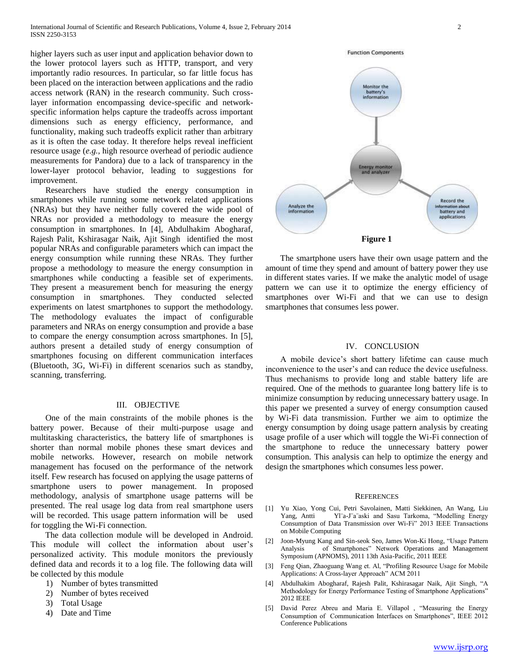higher layers such as user input and application behavior down to the lower protocol layers such as HTTP, transport, and very importantly radio resources. In particular, so far little focus has been placed on the interaction between applications and the radio access network (RAN) in the research community. Such crosslayer information encompassing device-specific and networkspecific information helps capture the tradeoffs across important dimensions such as energy efficiency, performance, and functionality, making such tradeoffs explicit rather than arbitrary as it is often the case today. It therefore helps reveal inefficient resource usage (*e.g.,* high resource overhead of periodic audience measurements for Pandora) due to a lack of transparency in the lower-layer protocol behavior, leading to suggestions for improvement.

 Researchers have studied the energy consumption in smartphones while running some network related applications (NRAs) but they have neither fully covered the wide pool of NRAs nor provided a methodology to measure the energy consumption in smartphones. In [4], Abdulhakim Abogharaf, Rajesh Palit, Kshirasagar Naik, Ajit Singh identified the most popular NRAs and configurable parameters which can impact the energy consumption while running these NRAs. They further propose a methodology to measure the energy consumption in smartphones while conducting a feasible set of experiments. They present a measurement bench for measuring the energy consumption in smartphones. They conducted selected experiments on latest smartphones to support the methodology. The methodology evaluates the impact of configurable parameters and NRAs on energy consumption and provide a base to compare the energy consumption across smartphones. In [5], authors present a detailed study of energy consumption of smartphones focusing on different communication interfaces (Bluetooth, 3G, Wi-Fi) in different scenarios such as standby, scanning, transferring.

## III. OBJECTIVE

 One of the main constraints of the mobile phones is the battery power. Because of their multi-purpose usage and multitasking characteristics, the battery life of smartphones is shorter than normal mobile phones these smart devices and mobile networks. However, research on mobile network management has focused on the performance of the network itself. Few research has focused on applying the usage patterns of smartphone users to power management. In proposed methodology, analysis of smartphone usage patterns will be presented. The real usage log data from real smartphone users will be recorded. This usage pattern information will be used for toggling the Wi-Fi connection.

 The data collection module will be developed in Android. This module will collect the information about user's personalized activity. This module monitors the previously defined data and records it to a log file. The following data will be collected by this module

- 1) Number of bytes transmitted
- 2) Number of bytes received
- 3) Total Usage
- 4) Date and Time



 The smartphone users have their own usage pattern and the amount of time they spend and amount of battery power they use in different states varies. If we make the analytic model of usage pattern we can use it to optimize the energy efficiency of smartphones over Wi-Fi and that we can use to design smartphones that consumes less power.

#### IV. CONCLUSION

 A mobile device's short battery lifetime can cause much inconvenience to the user's and can reduce the device usefulness. Thus mechanisms to provide long and stable battery life are required. One of the methods to guarantee long battery life is to minimize consumption by reducing unnecessary battery usage. In this paper we presented a survey of energy consumption caused by Wi-Fi data transmission. Further we aim to optimize the energy consumption by doing usage pattern analysis by creating usage profile of a user which will toggle the Wi-Fi connection of the smartphone to reduce the unnecessary battery power consumption. This analysis can help to optimize the energy and design the smartphones which consumes less power.

#### **REFERENCES**

- [1] Yu Xiao, Yong Cui, Petri Savolainen, Matti Siekkinen, An Wang, Liu Yang, Antti Yl¨a-J¨a¨aski and Sasu Tarkoma, "Modelling Energy Consumption of Data Transmission over Wi-Fi" 2013 IEEE Transactions on Mobile Computing
- [2] Joon-Myung Kang and Sin-seok Seo, James Won-Ki Hong, "Usage Pattern Analysis of Smartphones" Network Operations and Management Symposium (APNOMS), 2011 13th Asia-Pacific, 2011 IEEE
- [3] Feng Qian, Zhaoguang Wang et. Al, "Profiling Resource Usage for Mobile Applications: A Cross-layer Approach" ACM 2011
- [4] Abdulhakim Abogharaf, Rajesh Palit, Kshirasagar Naik, Ajit Singh, "A Methodology for Energy Performance Testing of Smartphone Applications" 2012 IEEE
- [5] David Perez Abreu and Maria E. Villapol , "Measuring the Energy Consumption of Communication Interfaces on Smartphones", IEEE 2012 Conference Publications